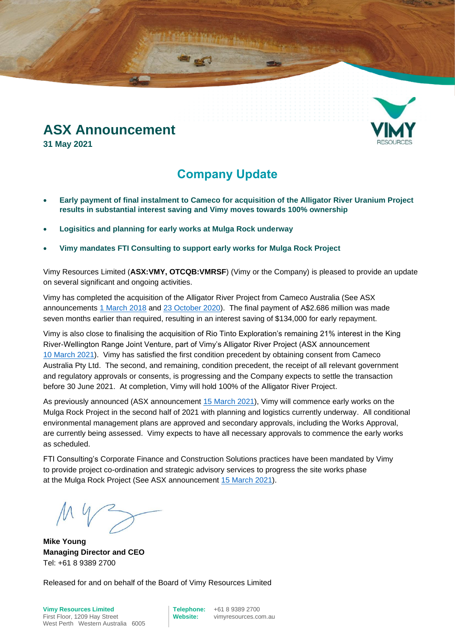## **ASX Announcement**

**31 May 2021**

### **Company Update**

- **Early payment of final instalment to Cameco for acquisition of the Alligator River Uranium Project results in substantial interest saving and Vimy moves towards 100% ownership**
- **Logisitics and planning for early works at Mulga Rock underway**
- **Vimy mandates FTI Consulting to support early works for Mulga Rock Project**

Vimy Resources Limited (**ASX:VMY, OTCQB:VMRSF**) (Vimy or the Company) is pleased to provide an update on several significant and ongoing activities.

Vimy has completed the acquisition of the Alligator River Project from Cameco Australia (See ASX announcements [1 March](http://clients3.weblink.com.au/pdf/VMY/01957187.pdf) 2018 and [23 October 2020\)](http://clients3.weblink.com.au/pdf/VMY/02297907.pdf). The final payment of A\$2.686 million was made seven months earlier than required, resulting in an interest saving of \$134,000 for early repayment.

Vimy is also close to finalising the acquisition of Rio Tinto Exploration's remaining 21% interest in the King River-Wellington Range Joint Venture, part of Vimy's Alligator River Project (ASX announcement 10 [March](http://clients3.weblink.com.au/pdf/VMY/02352004.pdf) 2021). Vimy has satisfied the first condition precedent by obtaining consent from Cameco Australia Pty Ltd. The second, and remaining, condition precedent, the receipt of all relevant government and regulatory approvals or consents, is progressing and the Company expects to settle the transaction before 30 June 2021. At completion, Vimy will hold 100% of the Alligator River Project.

As previously announced (ASX announcement [15 March](http://clients3.weblink.com.au/pdf/VMY/02353564.pdf) 2021), Vimy will commence early works on the Mulga Rock Project in the second half of 2021 with planning and logistics currently underway. All conditional environmental management plans are approved and secondary approvals, including the Works Approval, are currently being assessed. Vimy expects to have all necessary approvals to commence the early works as scheduled.

FTI Consulting's Corporate Finance and Construction Solutions practices have been mandated by Vimy to provide project co-ordination and strategic advisory services to progress the site works phase at the Mulga Rock Project (See ASX announcement 15 [March](http://clients3.weblink.com.au/pdf/VMY/02353564.pdf) 2021).

**Mike Young Managing Director and CEO** Tel: +61 8 9389 2700

Released for and on behalf of the Board of Vimy Resources Limited